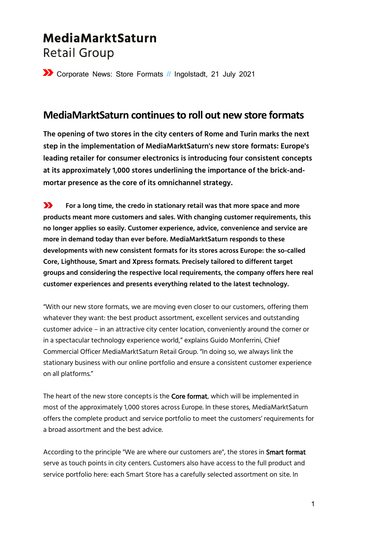# MediaMarktSaturn **Retail Group**

Corporate News: Store Formats // Ingolstadt, 21 July 2021

### **MediaMarktSaturn continues to roll out new store formats**

**The opening of two stores in the city centers of Rome and Turin marks the next step in the implementation of MediaMarktSaturn's new store formats: Europe's leading retailer for consumer electronics is introducing four consistent concepts at its approximately 1,000 stores underlining the importance of the brick-andmortar presence as the core of its omnichannel strategy.**

 $\sum$ **For a long time, the credo in stationary retail was that more space and more products meant more customers and sales. With changing customer requirements, this no longer applies so easily. Customer experience, advice, convenience and service are more in demand today than ever before. MediaMarktSaturn responds to these developments with new consistent formats for its stores across Europe: the so-called Core, Lighthouse, Smart and Xpress formats. Precisely tailored to different target groups and considering the respective local requirements, the company offers here real customer experiences and presents everything related to the latest technology.**

"With our new store formats, we are moving even closer to our customers, offering them whatever they want: the best product assortment, excellent services and outstanding customer advice – in an attractive city center location, conveniently around the corner or in a spectacular technology experience world," explains Guido Monferrini, Chief Commercial Officer MediaMarktSaturn Retail Group. "In doing so, we always link the stationary business with our online portfolio and ensure a consistent customer experience on all platforms."

The heart of the new store concepts is the Core format, which will be implemented in most of the approximately 1,000 stores across Europe. In these stores, MediaMarktSaturn offers the complete product and service portfolio to meet the customers' requirements for a broad assortment and the best advice.

According to the principle "We are where our customers are", the stores in Smart format serve as touch points in city centers. Customers also have access to the full product and service portfolio here: each Smart Store has a carefully selected assortment on site. In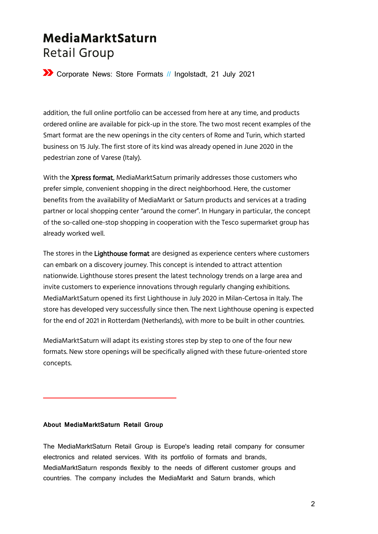## MediaMarktSaturn **Retail Group**

Corporate News: Store Formats // Ingolstadt, 21 July 2021

addition, the full online portfolio can be accessed from here at any time, and products ordered online are available for pick-up in the store. The two most recent examples of the Smart format are the new openings in the city centers of Rome and Turin, which started business on 15 July. The first store of its kind was already opened in June 2020 in the pedestrian zone of Varese (Italy).

With the Xpress format, MediaMarktSaturn primarily addresses those customers who prefer simple, convenient shopping in the direct neighborhood. Here, the customer benefits from the availability of MediaMarkt or Saturn products and services at a trading partner or local shopping center "around the corner". In Hungary in particular, the concept of the so-called one-stop shopping in cooperation with the Tesco supermarket group has already worked well.

The stores in the Lighthouse format are designed as experience centers where customers can embark on a discovery journey. This concept is intended to attract attention nationwide. Lighthouse stores present the latest technology trends on a large area and invite customers to experience innovations through regularly changing exhibitions. MediaMarktSaturn opened its first Lighthouse in July 2020 in Milan-Certosa in Italy. The store has developed very successfully since then. The next Lighthouse opening is expected for the end of 2021 in Rotterdam (Netherlands), with more to be built in other countries.

MediaMarktSaturn will adapt its existing stores step by step to one of the four new formats. New store openings will be specifically aligned with these future-oriented store concepts.

#### **About MediaMarktSaturn Retail Group**

The MediaMarktSaturn Retail Group is Europe's leading retail company for consumer electronics and related services. With its portfolio of formats and brands, MediaMarktSaturn responds flexibly to the needs of different customer groups and countries. The company includes the MediaMarkt and Saturn brands, which